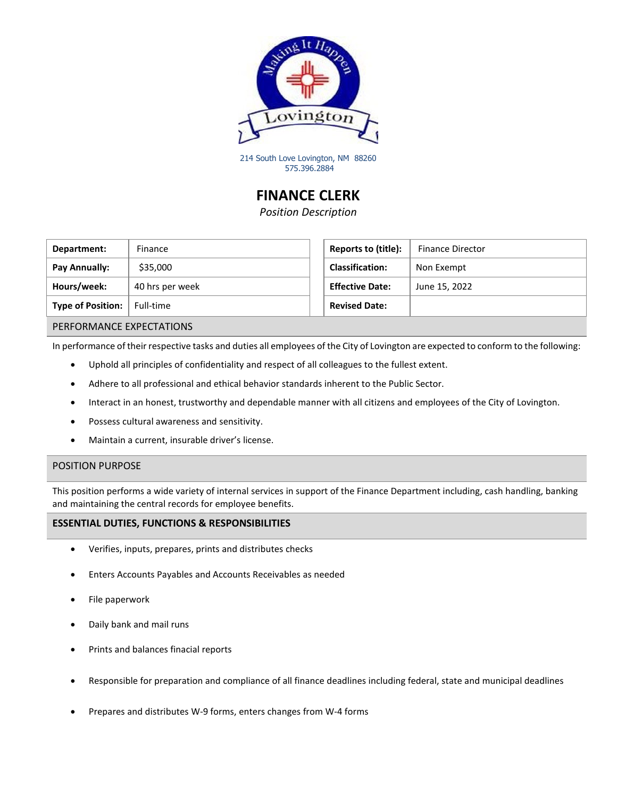

214 South Love Lovington, NM 88260 575.396.2884

# **FINANCE CLERK**

*Position Description*

| Department:              | Finance         | Reports to (title):    | <b>Finance Director</b> |
|--------------------------|-----------------|------------------------|-------------------------|
| Pay Annually:            | \$35,000        | <b>Classification:</b> | Non Exempt              |
| Hours/week:              | 40 hrs per week | <b>Effective Date:</b> | June 15, 2022           |
| <b>Type of Position:</b> | Full-time       | <b>Revised Date:</b>   |                         |

| Reports to (title):    | <b>Finance Director</b> |
|------------------------|-------------------------|
| <b>Classification:</b> | Non Exempt              |
| <b>Effective Date:</b> | June 15, 2022           |
| <b>Revised Date:</b>   |                         |

### PERFORMANCE EXPECTATIONS

In performance of their respective tasks and duties all employees of the City of Lovington are expected to conform to the following:

- Uphold all principles of confidentiality and respect of all colleagues to the fullest extent.
- Adhere to all professional and ethical behavior standards inherent to the Public Sector.
- Interact in an honest, trustworthy and dependable manner with all citizens and employees of the City of Lovington.
- Possess cultural awareness and sensitivity.
- Maintain a current, insurable driver's license.

### POSITION PURPOSE

This position performs a wide variety of internal services in support of the Finance Department including, cash handling, banking and maintaining the central records for employee benefits.

### **ESSENTIAL DUTIES, FUNCTIONS & RESPONSIBILITIES**

- Verifies, inputs, prepares, prints and distributes checks
- Enters Accounts Payables and Accounts Receivables as needed
- File paperwork
- Daily bank and mail runs
- Prints and balances finacial reports
- Responsible for preparation and compliance of all finance deadlines including federal, state and municipal deadlines
- Prepares and distributes W-9 forms, enters changes from W-4 forms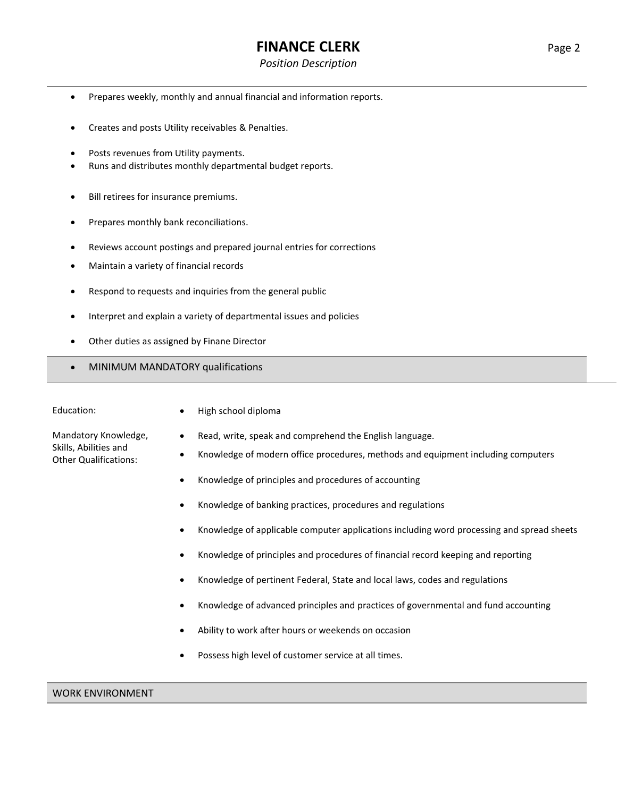# **FINANCE CLERK** Page 2

### *Position Description*

- Prepares weekly, monthly and annual financial and information reports.
- Creates and posts Utility receivables & Penalties.
- Posts revenues from Utility payments.
- Runs and distributes monthly departmental budget reports.
- Bill retirees for insurance premiums.
- Prepares monthly bank reconciliations.
- Reviews account postings and prepared journal entries for corrections
- Maintain a variety of financial records
- Respond to requests and inquiries from the general public
- Interpret and explain a variety of departmental issues and policies
- Other duties as assigned by Finane Director
- MINIMUM MANDATORY qualifications

| Education:                                                                    | High school diploma                                  |
|-------------------------------------------------------------------------------|------------------------------------------------------|
| Mandatory Knowledge,<br>Skills, Abilities and<br><b>Other Qualifications:</b> | Read, write, speak and co<br>Knowledge of modern off |
|                                                                               | Knowledge of principles a                            |
|                                                                               | Knowledge of banking pra                             |
|                                                                               | Knowledge of applicable of                           |
|                                                                               | Knowledge of principles a                            |

- Knowledge of pertinent Federal, State and local laws, codes and regulations
- Knowledge of advanced principles and practices of governmental and fund accounting
- Ability to work after hours or weekends on occasion
- Possess high level of customer service at all times.
- 
- mprehend the English language.
- ice procedures, methods and equipment including computers
	- ind procedures of accounting
- actices, procedures and regulations
- computer applications including word processing and spread sheets
- Ind procedures of financial record keeping and reporting

- 
-